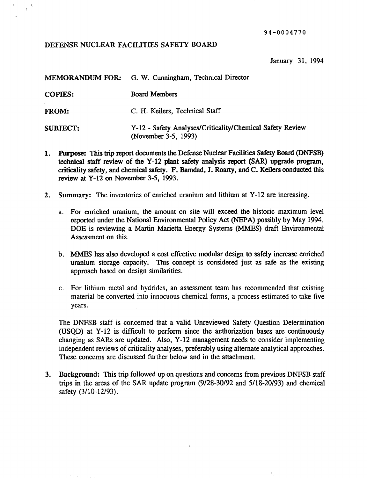94-0004770

# DEFENSE NUCLEAR FACILITIES SAFETY BOARD

 $\mathbf{t}^{\top}$ 

January 31, 1994

|                 | <b>MEMORANDUM FOR:</b> G. W. Cunningham, Technical Director                       |
|-----------------|-----------------------------------------------------------------------------------|
| <b>COPIES:</b>  | <b>Board Members</b>                                                              |
| <b>FROM:</b>    | C. H. Keilers, Technical Staff                                                    |
| <b>SUBJECT:</b> | Y-12 - Safety Analyses/Criticality/Chemical Safety Review<br>(November 3-5, 1993) |

- 1. Purpose: This trip report documents the Defense Nuclear Facilities Safety Board (DNFSB) technical staff review of the Y-12 plant safety analysis report (SAR) upgrade program, criticality safety, and chemical safety. F. Bamdad, J. Roarty, and C. Kei1ers conducted this review at Y-12 on November 3-5, 1993.
- 2. Summary: The inventories of enriched uranium and lithium at Y-12 are increasing.
	- a. For enriched uranium, the amount on site will exceed the historic maximum level reported under the National Environmental Policy Act (NEPA) possibly by May 1994. DOE is reviewing a Martin Marietta Energy Systems (MMES) draft Environmental Assessment on this.
	- b. MMES has also developed a cost effective modular design to safely increase enriched uranium storage capacity. This concept is considered just as safe as the existing approach based on design similarities.
	- c. For lithium metal and hydrides, an assessment team has recommended that existing material be converted into innocuous chemical forms, a process estimated to take five years.

The DNFSB staff is concerned that a valid Unreviewed Safety Question Determination (USQD) at Y-12 is difficult to perform since the authorization bases are continuously changing as SARs are updated. Also, Y-12 management needs to consider implementing independent reviews of criticality analyses, preferably using alternate analytical approaches. These concerns are discussed further below and in the attachment.

3. Background: This trip followed up on questions and concerns from previous DNFSB staff trips in the areas of the SAR update program (9/28-30/92 and 5/18-20/93) and chemical safety (3/10-12/93).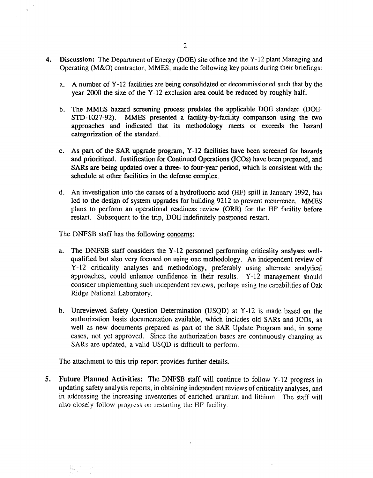- 4. Discussion: The Department of Energy (DOE) site office and the Y-12 plant Managing and Operating (M&O) contractor, MMES, made the following key points during their briefings:
	- a. A number of Y-12 facilities are being consolidated or decommissioned such that by the year 2000 the size of the Y-12 exclusion area could be reduced by roughly half.
	- b. The MMES hazard screening process predates the applicable DOE standard (DOE-STD-1027-92). MMES presented a facility-by-facility comparison using the two approaches and indicated that its methodology meets or exceeds the hazard categorization of the standard.
	- c. As part of the SAR upgrade program, Y-12 facilities have been screened for hazards and prioritized. Justification for Continued Operations *(ICOs)* have been prepared, and SARs are being updated over a three- to four-year period, which is consistent with the schedule at other facilities in the defense complex.
	- d. An investigation into the causes of a hydrofluoric acid (HF) spill in January 1992, has led to the design of system upgrades for building 9212 to prevent recurrence. MMES plans to perform an operational readiness review (ORR) for the HF facility before restart. Subsequent to the trip, DOE indefinitely postponed restart.

The DNFSB staff has the following concerns:

- a. The DNFSB staff considers the Y-12 personnel performing criticality analyses wellqualified but also very focused on using one methodology. An independent review of Y-12 criticality analyses and methodology, preferably using alternate analytical approaches, could enhance confidence in their results. Y-12 management should consider implementing such independent reviews, perhaps using the capabilities of Oak Ridge National Laboratory.
- b. Unreviewed Safety Question Determination (USQD) at Y-12 is made based on the authorization basis documentation available, which includes old SARs and JCOs, as well as new documents prepared as part of the SAR Update Program and, in some cases, not yet approved. Since the authorization bases are continuously changing as SARs are updated, a valid USQD is difficult to perform.

The attachment to this trip report provides further details.

S. Future Planned Activities: The DNFSB staff will continue to follow Y-12 progress in updating safety analysis reports, in obtaining independent reviews of criticality analyses, and in addressing the increasing inventories of enriched uranium and lithium. The staff will also closely follow progress on restarting the HF facility.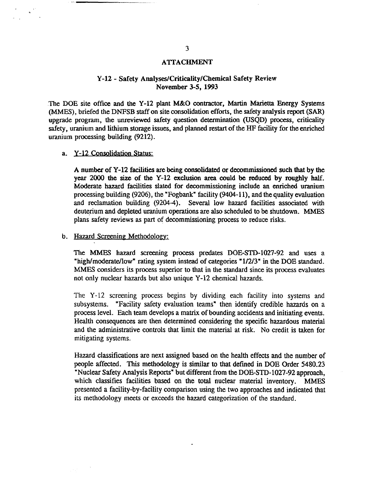#### **ATTACHMENT**

# Y-12 - Safety Analyses/Criticality/Chemical Safety Review November 3-5, 1993

The DOE site office and the Y-12 plant M&O contractor, Martin Marietta Energy Systems (MMES), briefed the DNFSB staff on site consolidation efforts, the safety analysis report (SAR) upgrade program, the unreviewed safety question determination (USQD) process, criticality safety, uranium and lithium storage issues, and planned restart of the HF facility for the enriched uranium processing building (9212).

## a. Y-12 Consolidation Status:

A number of Y-12 facilities are being consolidated or decommissioned such that by the year 2000 the size of the Y-12 exclusion area could be reduced by roughly half. Moderate hazard facilities slated for decommissioning include an enriched uranium processing building (9206), the "Fogbank" facility (9404-11), and the quality evaluation and reclamation building (9204-4). Several low hazard facilities associated with deuterium and depleted uranium operations are also scheduled to be shutdown. MMES plans safety reviews as part of decommissioning process to reduce risks.

## b. Hazard Screening Methodology:

The MMES hazard screening process predates DOE-STD-I027-92 and uses a "high/moderate/low" rating system instead of categories "1/2/3" in the DOE standard. MMES considers its process superior to that in the standard since its process evaluates not only nuclear hazards but also unique Y-12 chemical hazards.

The Y-12 screening process begins by dividing each facility into systems and subsystems. "Facility safety evaluation teams" then identify credible hazards on a process level. Each team develops a matrix of bounding accidents and initiating events. Health consequences are then determined considering the specific hazardous material and the administrative controls that limit the material at risk. No credit is taken for mitigating systems.

Hazard classifications are next assigned based on the health effects and the number of people affected. This methodology is similar to that defined in DOE Order 5480.23 "Nuclear Safety Analysis Reports" but different from the DOE-STD-1027-92 approach, which classifies facilities based on the total nuclear material inventory. MMES presented a facility-by-facility comparison using the two approaches and indicated that its methodology meets or exceeds the hazard categorization of the standard.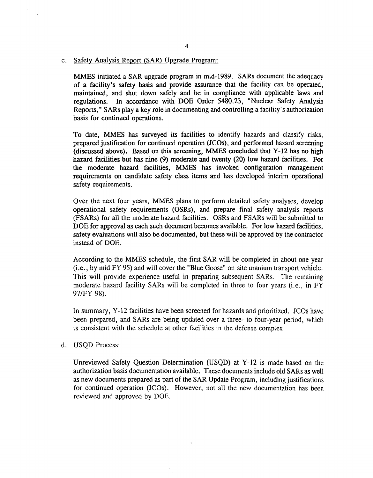#### c. Safety Analysis Report (SAR) Upgrade Program:

MMES initiated a SAR upgrade program in mid-1989. SARs document the adequacy of a facility's safety basis and provide assurance that the facility can be operated, maintained, and shut down safely and be in compliance with applicable laws and regulations. In accordance with DOE Order 5480.23, "Nuclear Safety Analysis Reports," SARs playa key role in documenting and controlling a facility's authorization basis for continued operations.

To date, MMES has surveyed its facilities to identify hazards and classify risks, prepared justification for continued operation (JCOs), and performed hazard screening (discussed above). Based on this screening, MMES concluded that Y-12 has no high hazard facilities but has nine (9) moderate and twenty (20) low hazard facilities. For the moderate hazard facilities, MMES has invoked configuration management requirements on candidate safety class items and has developed interim operational safety requirements.

Over the next four years, MMES plans to perform detailed safety analyses, develop operational safety requirements (OSRs), and prepare final safety analysis reports (FSARs) for all the moderate hazard facilities. OSRs and FSARs will be submitted to DOE for approval as each such document becomes available. For low hazard facilities, safety evaluations will also be documented, but these will be approved by the contractor instead of DOE.

According to the MMES schedule, the first SAR will be completed in about one year (i.e., by mid FY 95) and will cover the "Blue Goose" on-site uranium transport vehicle. This will provide experience useful in preparing subsequent SARs. The remaining moderate hazard facility SARs will be completed in three to four years (i.e., in FY 97/FY 98).

In summary, Y-12 facilities have been screened for hazards and prioritized. JCOs have been prepared, and SARs are being updated over a three- to four-year period, which is consistent with the schedule at other facilities in the defense complex.

d. USQD Process:

Unreviewed Safety Question Determination (USQD) at Y-12 is made based on the authorization basis documentation available. These documents include old SARs as well as new documents prepared as part of the SAR Update Program, induding justifications for continued operation (JCOs). However, not all the new documentation has been reviewed and approved by DOE.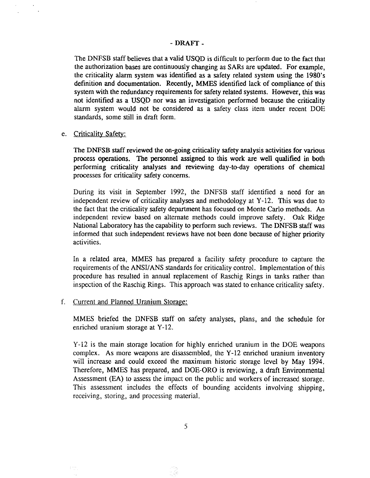## - DRAFT-

The DNFSB staff believes that a valid USQD is difficult to perform due to the fact that the authorization bases are continuously changing as SARs are updated. For example, the criticality alarm system was identified as a safety related system using the 1980's definition and documentation. Recently, MMES identified lack of compliance of this system with the redundancy requirements for safety related systems. However, this was not identified as a USQD nor was an investigation performed because the criticality alarm system would not be considered as a safety class item under recent DOE standards, some still in draft form.

e. Criticality Safety:

The DNFSB staff reviewed the on-going criticality safety analysis activities for various process operations. The personnel assigned to this work are well qualified in both performing criticality analyses and reviewing day-to-day operations of chemical processes for criticality safety concerns.

During its visit in September 1992, the DNFSB staff identified a need for an independent review of criticality analyses and methodology at Y-12. This was due to the fact that the criticality safety department has focused on Monte Carlo methods. An independent review based on alternate methods could improve safety. Oak Ridge National Laboratory has the capability to perform such reviews. The DNFSB staff was informed that such independent reviews have not been done because of higher priority activities.

In a related area, MMES has prepared a facility safety procedure to capture the requirements of the *ANSI!*ANS standards for criticality control. Implementation of this procedure has resulted in annual replacement of Raschig Rings in tanks rather than inspection of the Raschig Rings. This approach was stated to enhance criticality safety.

f. Current and Planned Uranium Storage:

MMES briefed the DNFSB staff on safety analyses, plans, and the schedule for enriched uranium storage at Y-12.

Y-12 is the main storage location for highly enriched uranium in the DOE weapons complex. As more weapons are disassembled, the Y-12 enriched uranium inventory will increase and could exceed the maximum historic storage level by May 1994. Therefore, MMES has prepared, and DOE-ORO is reviewing, a draft Environmental Assessment (EA) to assess the impact on the public and workers of increased storage. This assessment includes the effects of bounding accidents involving shipping, receiving, storing, and processing material.

- Ze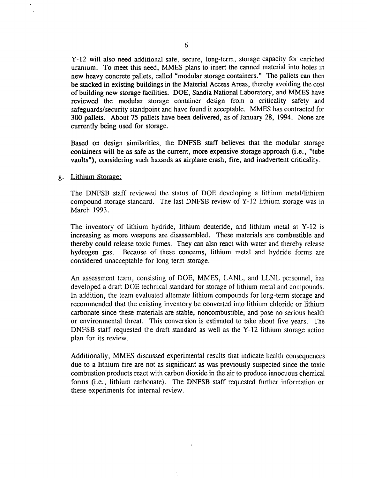Y-12 will also need additional safe, secure, long-term, storage capacity for enriched uranium. To meet this need, MMES plans to insert the canned material into holes in new heavy concrete pallets, called "modular storage containers." The pallets can then be stacked in existing buildings in the Material Access Areas, thereby avoiding the cost of building new storage facilities. DOE, Sandia National Laboratory, and MMES have reviewed the modular storage container design from a criticality safety and safeguards/security standpoint and have found it acceptable. MMES has contracted for 300 pallets. About 75 pallets have been delivered, as of January 28, 1994. None are currently being used for storage.

Based on design similarities, the DNFSB staff believes that the modular storage containers will be as safe as the current, more expensive storage approach (i.e., "tube vaults"), considering such hazards as airplane crash, fire, and inadvertent criticality.

g. Lithium Storage:

The DNFSB staff reviewed the status of DOE developing a lithium metal/lithium compound storage standard. The last DNFSB review of Y-12 lithium storage was in March 1993.

The inventory of lithium hydride, lithium deuteride, and lithium metal at Y-12 is increasing as more weapons are disassembled.. These materials are combustible and thereby could release toxic fumes. They can also react with water and thereby release hydrogen gas. Because of these concerns, lithium metal and hydride forms are considered unacceptable for long-term storage.

An assessment team, consisting of DOE, MMES, LANL, and LLNL personnel, has developed a draft DOE technical standard for storage of lithium metal and compounds. In addition, the team evaluated alternate lithium compounds for long-term storage and recommended that the existing inventory be converted into lithium chloride or lithium carbonate since these materials are stable, noncombustible, and pose no serious health or environmental threat. This conversion is estimated to take about five years. The DNFSB staff requested the draft standard as well as the Y-12 lithium storage action plan for its review.

Additionally, MMES discussed experimental results that indicate health consequences due to a lithium fire are not as significant as was previously suspected since the toxic combustion products react with carbon dioxide in the air to produce innocuous chemical forms (i.e., lithium carbonate). The DNFSB staff requested further information on these experiments for internal review.